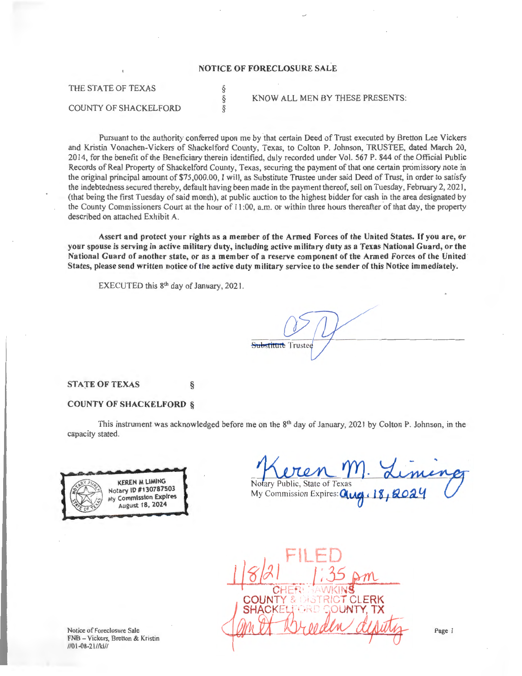## **NOTICE OF FORECLOSURE SALE**

§ § §

THE STATE OF TEXAS

## COUNTY OF SHACKELFORD

KNOW ALL MEN BY THESE PRESENTS:

Pursuant to the authority conferred upon me by that certain Deed of Trust executed by Bretton Lee Vickers and Kristin Vonachen-Vickers of Shackelford County, Texas, to Colton P. Johnson, TRUSTEE, dated March 20, 2014, for the benefit of the Beneficiary therein identified, duly recorded under Vol. 567 P. 844 of the Official Public Records of Real Property of Shackelford County, Texas, securing the payment of that one certain promissory note in the original principal amount of \$75,000.00, I will, as Substitute Trustee under said Deed of Trust, in order to satisfy the indebtedness secured thereby, default having been made in the payment thereof, sell on Tuesday, February 2, 2021, (that being the first Tuesday of said month), at public auction to the highest bidder for cash in the area designated by the County Commissioners Court at the hour of 11 :00, a.m. or within three hours thereafter of that day, the property described on attached Exhibit A.

Assert and protect your rights as a member of the Armed Forces of the United States. If you are, or your spouse is serving in active military duty, including active military duty as a Texas National Guard, or the National Guard of another state, or as a member of a reserve component of the Armed Forces of the United States, please send written notice of the active duty military service to the sender of this Notice immediately.

EXECUTED this 8<sup>th</sup> day of January, 2021.

## STATE OF TEXAS §

## COUNTY OF SHACKELFORD §

This instrument was acknowledged before me on the  $8<sup>th</sup>$  day of January, 2021 by Colton P. Johnson, in the capacity stated.

Substitute Trustee



Notary Public, State of Texas My Commission Expires: **Que 18, 202** 

COLINT СI

Notice of Foreclosure Sale FNB - Vickers, Bretton & Kristin 1101-08-21/lkl//

Page I